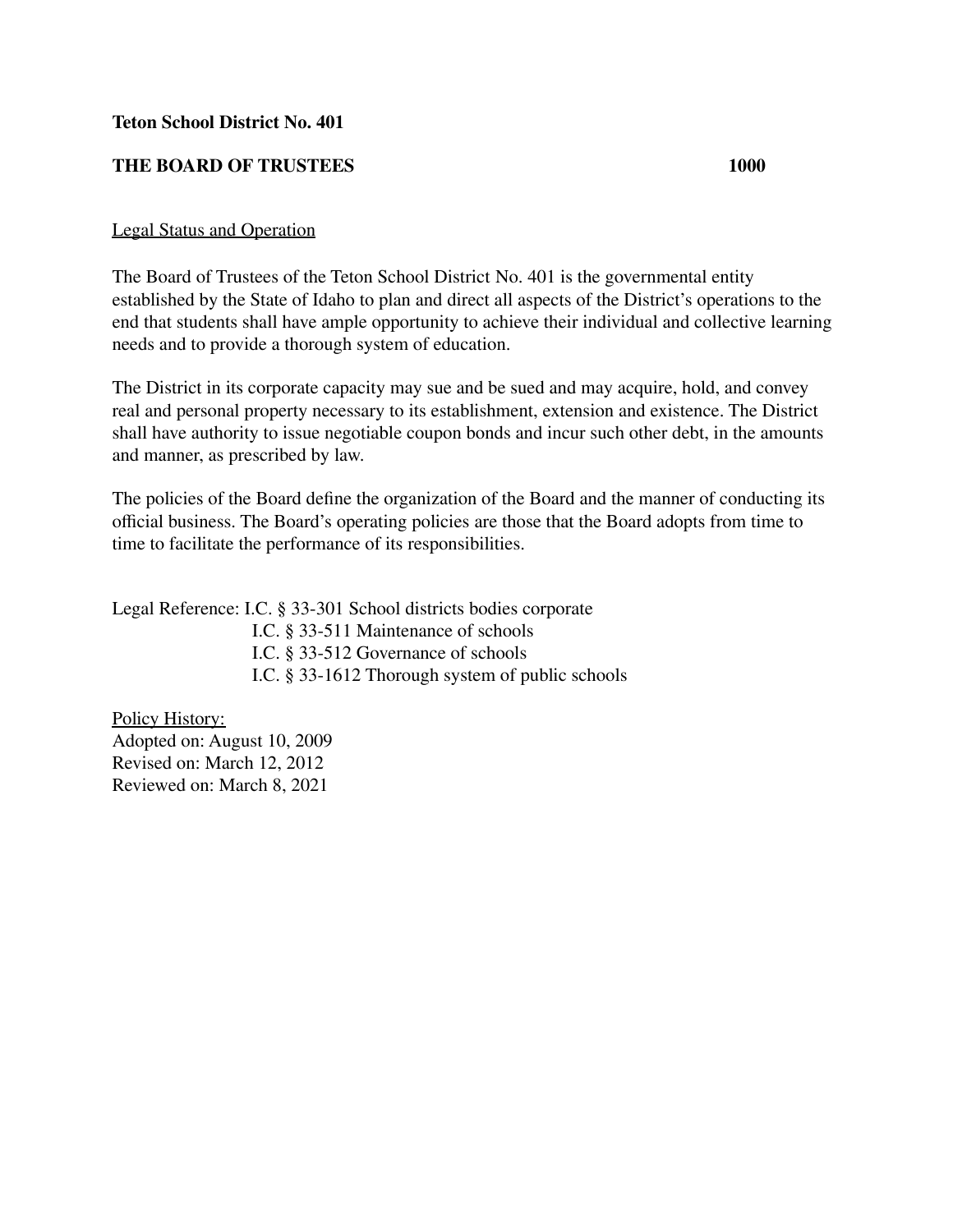## **Teton School District No. 401**

## **THE BOARD OF TRUSTEES 1000**

## Legal Status and Operation

The Board of Trustees of the Teton School District No. 401 is the governmental entity established by the State of Idaho to plan and direct all aspects of the District's operations to the end that students shall have ample opportunity to achieve their individual and collective learning needs and to provide a thorough system of education.

The District in its corporate capacity may sue and be sued and may acquire, hold, and convey real and personal property necessary to its establishment, extension and existence. The District shall have authority to issue negotiable coupon bonds and incur such other debt, in the amounts and manner, as prescribed by law.

The policies of the Board define the organization of the Board and the manner of conducting its official business. The Board's operating policies are those that the Board adopts from time to time to facilitate the performance of its responsibilities.

Legal Reference: I.C. § 33-301 School districts bodies corporate I.C. § 33-511 Maintenance of schools I.C. § 33-512 Governance of schools I.C. § 33-1612 Thorough system of public schools

Policy History: Adopted on: August 10, 2009 Revised on: March 12, 2012 Reviewed on: March 8, 2021